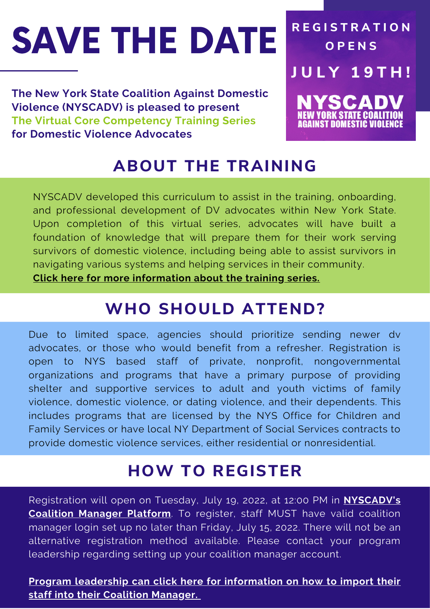# SAVE THE DATE

**The New York State Coalition Against Domestic Violence (NYSCADV) is pleased to present The Virtual Core Competency Training Series for Domestic Violence Advocates**

## **R E G I S T R A T I O N O P E N S J U L Y 1 9 T H !** YSCA

**ABOUT THE TRAINING**

NYSCADV developed this curriculum to assist in the training, onboarding, and professional development of DV advocates within New York State. Upon completion of this virtual series, advocates will have built a foundation of knowledge that will prepare them for their work serving survivors of domestic violence, including being able to assist survivors in navigating various systems and helping services in their community.

**Click here for more [information](https://acrobat.adobe.com/link/track?uri=urn:aaid:scds:US:d21121b1-68e7-3e74-bf9e-f0ad6f7c1425) about the training series.**

### **WHO SHOULD ATTEND?**

Due to limited space, agencies should prioritize sending newer dv advocates, or those who would benefit from a refresher. Registration is open to NYS based staff of private, nonprofit, nongovernmental organizations and programs that have a primary purpose of providing shelter and supportive services to adult and youth victims of family violence, domestic violence, or dating violence, and their dependents. This includes programs that are licensed by the NYS Office for Children and Family Services or have local NY Department of Social Services contracts to provide domestic violence services, either residential or nonresidential.

#### **HOW TO REGISTER**

[Registration](https://nyscadv.coalitionmanager.org/) will open on Tuesday, July 19, 2022, at 12:00 PM in **NYSCADV's Coalition Manager Platform**. To register, staff MUST have valid coalition manager login set up no later than Friday, July 15, 2022. There will not be an alternative registration method available. Please contact your program leadership regarding setting up your coalition manager account.

#### **Program leadership can click here for [information](https://acrobat.adobe.com/link/track?uri=urn:aaid:scds:US:ca2c7c07-0769-3bf2-a648-ee50e6de7043) on how to import their staff into their Coalition Manager.**